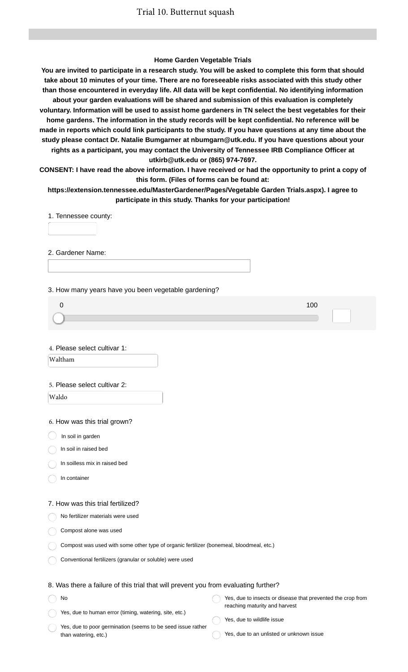#### **Home Garden Vegetable Trials**

**You are invited to participate in a research study. You will be asked to complete this form that should take about 10 minutes of your time. There are no foreseeable risks associated with this study other than those encountered in everyday life. All data will be kept confidential. No identifying information about your garden evaluations will be shared and submission of this evaluation is completely voluntary. Information will be used to assist home gardeners in TN select the best vegetables for their home gardens. The information in the study records will be kept confidential. No reference will be made in reports which could link participants to the study. If you have questions at any time about the study please contact Dr. Natalie Bumgarner at nbumgarn@utk.edu. If you have questions about your rights as a participant, you may contact the University of Tennessee IRB Compliance Officer at utkirb@utk.edu or (865) 974-7697.**

**CONSENT: I have read the above information. I have received or had the opportunity to print a copy of this form. (Files of forms can be found at:**

**https://extension.tennessee.edu/MasterGardener/Pages/Vegetable Garden Trials.aspx). I agree to participate in this study. Thanks for your participation!**

1. Tennessee county:

2. Gardener Name:

3. How many years have you been vegetable gardening?

4. Please select cultivar 1: Waltham

5. Please select cultivar 2:

Waldo

6. How was this trial grown?

 $\big)$  In soil in garden

In soil in raised bed

In soilless mix in raised bed

In container

No

#### 7. How was this trial fertilized?

No fertilizer materials were used

Compost alone was used

Compost was used with some other type of organic fertilizer (bonemeal, bloodmeal, etc.)

Conventional fertilizers (granular or soluble) were used

#### 8. Was there a failure of this trial that will prevent you from evaluating further?

Yes, due to human error (timing, watering, site, etc.) Yes, due to insects or disease that prevented the crop from reaching maturity and harvest

Yes, due to poor germination (seems to be seed issue rather than watering, etc.)

Yes, due to wildlife issue

Yes, due to an unlisted or unknown issue